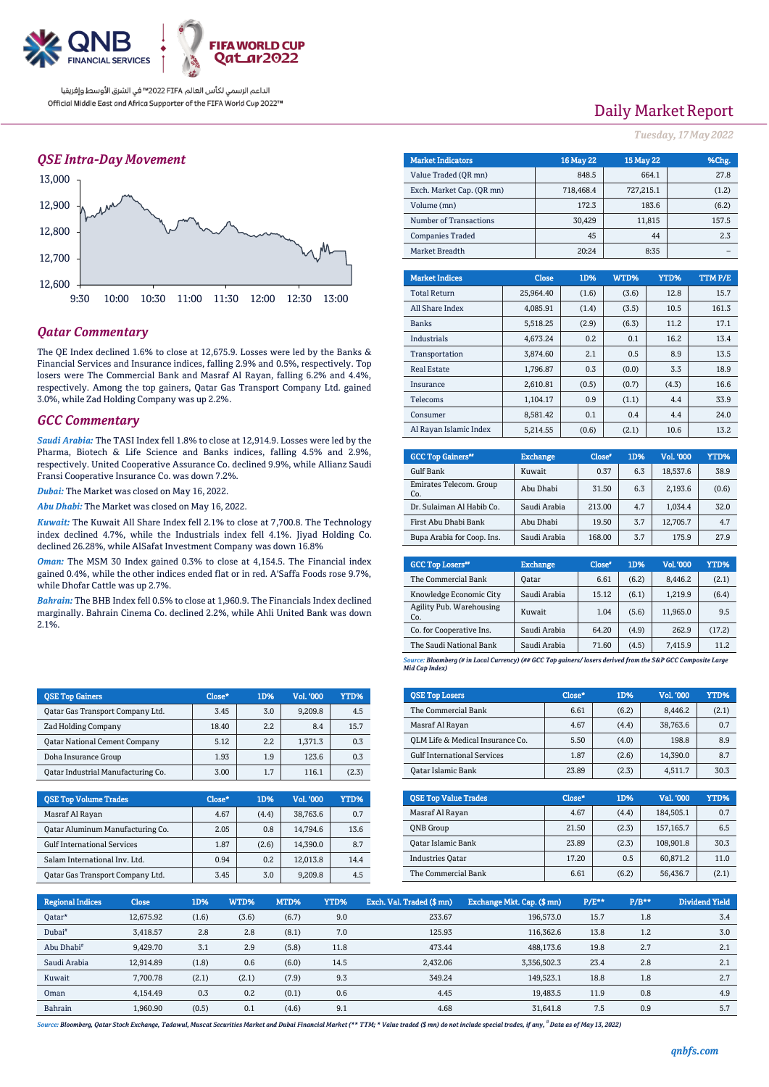

### *QSE Intra-Day Movement*



### *Qatar Commentary*

The QE Index declined 1.6% to close at 12,675.9. Losses were led by the Banks & Financial Services and Insurance indices, falling 2.9% and 0.5%, respectively. Top losers were The Commercial Bank and Masraf Al Rayan, falling 6.2% and 4.4%, respectively. Among the top gainers, Qatar Gas Transport Company Ltd. gained 3.0%, while Zad Holding Company was up 2.2%.

### *GCC Commentary*

*Saudi Arabia:* The TASI Index fell 1.8% to close at 12,914.9. Losses were led by the Pharma, Biotech & Life Science and Banks indices, falling 4.5% and 2.9%, respectively. United Cooperative Assurance Co. declined 9.9%, while Allianz Saudi Fransi Cooperative Insurance Co. was down 7.2%.

*Dubai:* The Market was closed on May 16, 2022.

*Abu Dhabi:* The Market was closed on May 16, 2022.

*Kuwait:* The Kuwait All Share Index fell 2.1% to close at 7,700.8. The Technology index declined 4.7%, while the Industrials index fell 4.1%. Jiyad Holding Co. declined 26.28%, while AlSafat Investment Company was down 16.8%

*Oman:* The MSM 30 Index gained 0.3% to close at 4,154.5. The Financial index gained 0.4%, while the other indices ended flat or in red. A'Saffa Foods rose 9.7%, while Dhofar Cattle was up 2.7%.

*Bahrain:* The BHB Index fell 0.5% to close at 1,960.9. The Financials Index declined marginally. Bahrain Cinema Co. declined 2.2%, while Ahli United Bank was down 2.1%.

| <b>QSE Top Gainers</b>               | Close* | 1D% | <b>Vol. '000</b> | <b>YTD%</b> |
|--------------------------------------|--------|-----|------------------|-------------|
| Qatar Gas Transport Company Ltd.     | 3.45   | 3.0 | 9.209.8          | 4.5         |
| <b>Zad Holding Company</b>           | 18.40  | 2.2 | 8.4              | 15.7        |
| <b>Qatar National Cement Company</b> | 5.12   | 2.2 | 1,371.3          | 0.3         |
| Doha Insurance Group                 | 1.93   | 1.9 | 123.6            | 0.3         |
| Oatar Industrial Manufacturing Co.   | 3.00   | 1.7 | 116.1            | (2.3)       |

| <b>QSE Top Volume Trades</b>       | Close* | 1D%   | <b>Vol. '000</b> | YTD% |
|------------------------------------|--------|-------|------------------|------|
| Masraf Al Rayan                    | 4.67   | (4.4) | 38,763.6         | 0.7  |
| Qatar Aluminum Manufacturing Co.   | 2.05   | 0.8   | 14,794.6         | 13.6 |
| <b>Gulf International Services</b> | 1.87   | (2.6) | 14,390.0         | 8.7  |
| Salam International Inv. Ltd.      | 0.94   | 0.2   | 12,013.8         | 14.4 |
| Oatar Gas Transport Company Ltd.   | 3.45   | 3.0   | 9,209.8          | 4.5  |

# Daily Market Report

*Tuesday, 17May 2022*

| <b>Market Indicators</b>  |           | <b>16 May 22</b> | <b>15 May 22</b> |        |      | %Chg.  |
|---------------------------|-----------|------------------|------------------|--------|------|--------|
| Value Traded (OR mn)      |           | 848.5            |                  | 664.1  |      | 27.8   |
| Exch. Market Cap. (QR mn) |           | 718,468.4        | 727,215.1        |        |      | (1.2)  |
| Volume (mn)               |           | 172.3            |                  | 183.6  |      | (6.2)  |
| Number of Transactions    |           | 30,429           |                  | 11,815 |      | 157.5  |
| <b>Companies Traded</b>   |           | 45               |                  | 44     |      | 2.3    |
| Market Breadth            |           | 20:24            |                  | 8:35   |      |        |
|                           |           |                  |                  |        |      |        |
| <b>Market Indices</b>     | Close     | 1D%              | WTD%             |        | YTD% | TTMP/E |
| <b>Total Return</b>       | 25,964.40 | (1.6)            | (3.6)            |        | 12.8 | 15.7   |
| All Share Index           | 4,085.91  | (1.4)            | (3.5)            |        | 10.5 | 161.3  |
| <b>Banks</b>              | 5,518.25  | (2.9)            | (6.3)            |        | 11.2 | 17.1   |
| Industrials               | 4,673.24  | 0.2              | 0.1              |        | 16.2 | 13.4   |
| Transportation            | 3,874.60  | 2.1              | 0.5              |        | 8.9  | 13.5   |
| <b>Real Estate</b>        | 1,796.87  | 0.3              | (0.0)            |        | 3.3  | 18.9   |

|                        |          | and a | <b>START</b> | <b>TT 1 IRRA</b> | <b>MINISTER ALL</b> |
|------------------------|----------|-------|--------------|------------------|---------------------|
|                        |          |       |              |                  |                     |
| Al Rayan Islamic Index | 5,214.55 | (0.6) | (2.1)        | 10.6             | 13.2                |
| Consumer               | 8,581.42 | 0.1   | 0.4          | 4.4              | 24.0                |
| Telecoms               | 1,104.17 | 0.9   | (1.1)        | 4.4              | 33.9                |
| Insurance              | 2.610.81 | (0.5) | (0.7)        | (4.3)            | 16.6                |

| <b>GCC Top Gainers</b> "       | <b>Exchange</b> | Close* | 1D% | Vol. '000 | YTD%  |
|--------------------------------|-----------------|--------|-----|-----------|-------|
| Gulf Bank                      | Kuwait          | 0.37   | 6.3 | 18.537.6  | 38.9  |
| Emirates Telecom. Group<br>Co. | Abu Dhabi       | 31.50  | 6.3 | 2,193.6   | (0.6) |
| Dr. Sulaiman Al Habib Co.      | Saudi Arabia    | 213.00 | 4.7 | 1,034.4   | 32.0  |
| First Abu Dhabi Bank           | Abu Dhabi       | 19.50  | 3.7 | 12.705.7  | 4.7   |
| Bupa Arabia for Coop. Ins.     | Saudi Arabia    | 168.00 | 3.7 | 175.9     | 27.9  |

| <b>GCC Top Losers</b> "         | <b>Exchange</b> | Close <sup>®</sup> | 1D%   | Vol.'000 | YTD%   |
|---------------------------------|-----------------|--------------------|-------|----------|--------|
| The Commercial Bank             | Oatar           | 6.61               | (6.2) | 8,446.2  | (2.1)  |
| Knowledge Economic City         | Saudi Arabia    | 15.12              | (6.1) | 1,219.9  | (6.4)  |
| Agility Pub. Warehousing<br>Co. | Kuwait          | 1.04               | (5.6) | 11.965.0 | 9.5    |
| Co. for Cooperative Ins.        | Saudi Arabia    | 64.20              | (4.9) | 262.9    | (17.2) |
| The Saudi National Bank         | Saudi Arabia    | 71.60              | (4.5) | 7,415.9  | 11.2   |
|                                 |                 |                    |       |          |        |

*Source: Bloomberg (# in Local Currency) (## GCC Top gainers/ losers derived from the S&P GCC Composite Large Mid Cap Index)*

| <b>OSE Top Losers</b>              | Close* | 1D%   | Vol. '000 | YTD%  |
|------------------------------------|--------|-------|-----------|-------|
| The Commercial Bank                | 6.61   | (6.2) | 8.446.2   | (2.1) |
| Masraf Al Rayan                    | 4.67   | (4.4) | 38.763.6  | 0.7   |
| OLM Life & Medical Insurance Co.   | 5.50   | (4.0) | 198.8     | 8.9   |
| <b>Gulf International Services</b> | 1.87   | (2.6) | 14.390.0  | 8.7   |
| Oatar Islamic Bank                 | 23.89  | (2.3) | 4.511.7   | 30.3  |

| <b>OSE Top Value Trades</b> | Close* | 1D%   | Val. '000 | YTD%  |
|-----------------------------|--------|-------|-----------|-------|
| Masraf Al Rayan             | 4.67   | (4.4) | 184.505.1 | 0.7   |
| <b>ONB</b> Group            | 21.50  | (2.3) | 157,165.7 | 6.5   |
| <b>Qatar Islamic Bank</b>   | 23.89  | (2.3) | 108,901.8 | 30.3  |
| <b>Industries Oatar</b>     | 17.20  | 0.5   | 60,871.2  | 11.0  |
| The Commercial Bank         | 6.61   | (6.2) | 56,436.7  | (2.1) |

| <b>Regional Indices</b> | <b>Close</b> | 1D%   | WTD%  | MTD%  | YTD% | Exch. Val. Traded (\$mn) | Exchange Mkt. Cap. (\$mn) | $P/E***$ | $P/B**$ | Dividend Yield |
|-------------------------|--------------|-------|-------|-------|------|--------------------------|---------------------------|----------|---------|----------------|
| Qatar*                  | 12,675.92    | (1.6) | (3.6) | (6.7) | 9.0  | 233.67                   | 196,573.0                 | 15.7     | 1.8     | 3.4            |
| Dubai <sup>#</sup>      | 3.418.57     | 2.8   | 2.8   | (8.1) | 7.0  | 125.93                   | 116,362.6                 | 13.8     | 1.2     | 3.0            |
| Abu Dhabi#              | 9.429.70     | 3.1   | 2.9   | (5.8) | 11.8 | 473.44                   | 488.173.6                 | 19.8     | 2.7     | 2.1            |
| Saudi Arabia            | 12,914.89    | (1.8) | 0.6   | (6.0) | 14.5 | 2,432.06                 | 3,356,502.3               | 23.4     | 2.8     | 2.1            |
| Kuwait                  | 7.700.78     | (2.1) | (2.1) | (7.9) | 9.3  | 349.24                   | 149.523.1                 | 18.8     | 1.8     | 2.7            |
| Oman                    | 4.154.49     | 0.3   | 0.2   | (0.1) | 0.6  | 4.45                     | 19.483.5                  | 11.9     | 0.8     | 4.9            |
| Bahrain                 | 1.960.90     | (0.5) | 0.1   | (4.6) | 9.1  | 4.68                     | 31.641.8                  | 7.5      | 0.9     | 5.7            |

*Source: Bloomberg, Qatar Stock Exchange, Tadawul, Muscat Securities Market and Dubai Financial Market (\*\* TTM; \* Value traded (\$ mn) do not include special trades, if any,*  # *Data as of May 13, 2022)*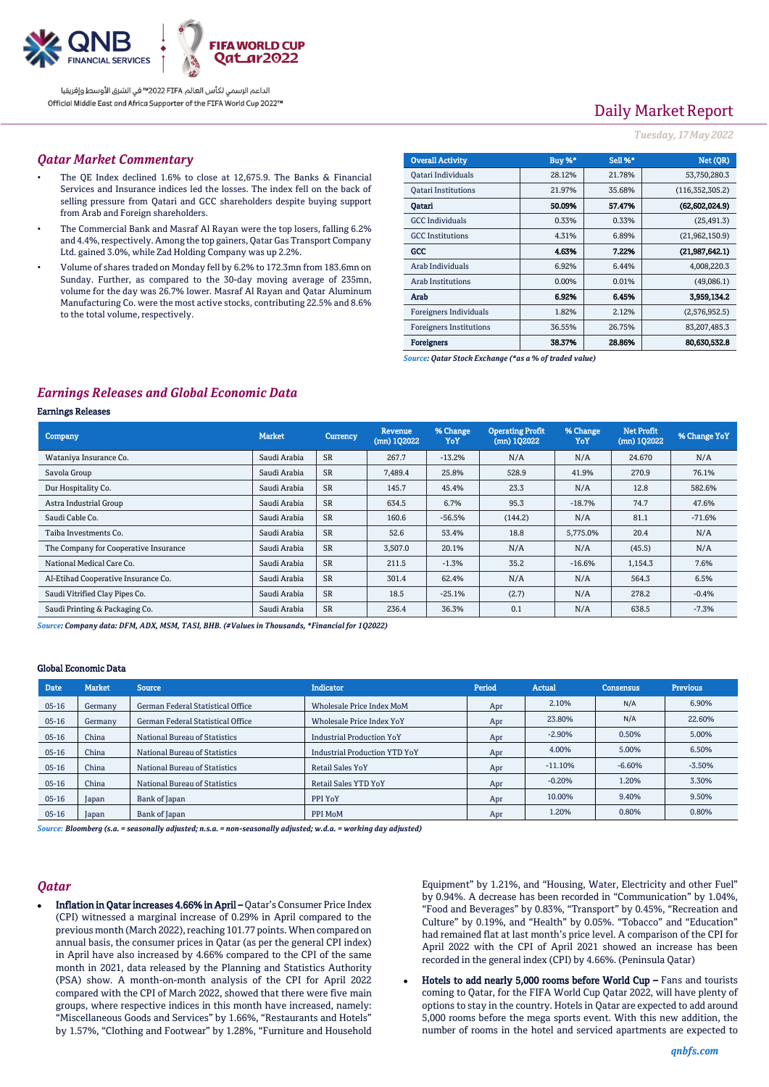

# Daily Market Report

### *Tuesday, 17May 2022*

#### *Qatar Market Commentary*

- The QE Index declined 1.6% to close at 12,675.9. The Banks & Financial Services and Insurance indices led the losses. The index fell on the back of selling pressure from Qatari and GCC shareholders despite buying support from Arab and Foreign shareholders.
- The Commercial Bank and Masraf Al Rayan were the top losers, falling 6.2% and 4.4%, respectively. Among the top gainers, Qatar Gas Transport Company Ltd. gained 3.0%, while Zad Holding Company was up 2.2%.
- Volume of shares traded on Monday fell by 6.2% to 172.3mn from 183.6mn on Sunday. Further, as compared to the 30-day moving average of 235mn, volume for the day was 26.7% lower. Masraf Al Rayan and Qatar Aluminum Manufacturing Co. were the most active stocks, contributing 22.5% and 8.6% to the total volume, respectively.

| <b>Overall Activity</b>        | Buy %* | Sell %* | Net (OR)          |
|--------------------------------|--------|---------|-------------------|
| Qatari Individuals             | 28.12% | 21.78%  | 53,750,280.3      |
| <b>Oatari Institutions</b>     | 21.97% | 35.68%  | (116, 352, 305.2) |
| Oatari                         | 50.09% | 57.47%  | (62,602,024.9)    |
| <b>GCC</b> Individuals         | 0.33%  | 0.33%   | (25, 491.3)       |
| <b>GCC</b> Institutions        | 4.31%  | 6.89%   | (21,962,150.9)    |
| GCC                            | 4.63%  | 7.22%   | (21, 987, 642.1)  |
| Arab Individuals               | 6.92%  | 6.44%   | 4,008,220.3       |
| <b>Arab Institutions</b>       | 0.00%  | 0.01%   | (49,086.1)        |
| Arab                           | 6.92%  | 6.45%   | 3,959,134.2       |
| Foreigners Individuals         | 1.82%  | 2.12%   | (2,576,952.5)     |
| <b>Foreigners Institutions</b> | 36.55% | 26.75%  | 83,207,485.3      |
| <b>Foreigners</b>              | 38.37% | 28.86%  | 80,630,532.8      |

*Source: Qatar Stock Exchange (\*as a % of traded value)*

### *Earnings Releases and Global Economic Data*

#### Earnings Releases

| Company                               | <b>Market</b> | Currency  | <b>Revenue</b><br>$(mn)$ 102022 | % Change<br>YoY | <b>Operating Profit</b><br>$(mn)$ 102022 | % Change<br>YoY | <b>Net Profit</b><br>$(mn)$ 102022 | % Change YoY |
|---------------------------------------|---------------|-----------|---------------------------------|-----------------|------------------------------------------|-----------------|------------------------------------|--------------|
| Wataniya Insurance Co.                | Saudi Arabia  | <b>SR</b> | 267.7                           | $-13.2%$        | N/A                                      | N/A             | 24.670                             | N/A          |
| Savola Group                          | Saudi Arabia  | <b>SR</b> | 7.489.4                         | 25.8%           | 528.9                                    | 41.9%           | 270.9                              | 76.1%        |
| Dur Hospitality Co.                   | Saudi Arabia  | <b>SR</b> | 145.7                           | 45.4%           | 23.3                                     | N/A             | 12.8                               | 582.6%       |
| Astra Industrial Group                | Saudi Arabia  | <b>SR</b> | 634.5                           | 6.7%            | 95.3                                     | $-18.7%$        | 74.7                               | 47.6%        |
| Saudi Cable Co.                       | Saudi Arabia  | <b>SR</b> | 160.6                           | $-56.5%$        | (144.2)                                  | N/A             | 81.1                               | $-71.6%$     |
| Taiba Investments Co.                 | Saudi Arabia  | <b>SR</b> | 52.6                            | 53.4%           | 18.8                                     | 5.775.0%        | 20.4                               | N/A          |
| The Company for Cooperative Insurance | Saudi Arabia  | <b>SR</b> | 3.507.0                         | 20.1%           | N/A                                      | N/A             | (45.5)                             | N/A          |
| National Medical Care Co.             | Saudi Arabia  | <b>SR</b> | 211.5                           | $-1.3%$         | 35.2                                     | $-16.6%$        | 1,154.3                            | 7.6%         |
| Al-Etihad Cooperative Insurance Co.   | Saudi Arabia  | <b>SR</b> | 301.4                           | 62.4%           | N/A                                      | N/A             | 564.3                              | 6.5%         |
| Saudi Vitrified Clay Pipes Co.        | Saudi Arabia  | <b>SR</b> | 18.5                            | $-25.1%$        | (2.7)                                    | N/A             | 278.2                              | $-0.4%$      |
| Saudi Printing & Packaging Co.        | Saudi Arabia  | <b>SR</b> | 236.4                           | 36.3%           | 0.1                                      | N/A             | 638.5                              | $-7.3%$      |

*Source: Company data: DFM, ADX, MSM, TASI, BHB. (#Values in Thousands, \*Financial for 1Q2022)*

#### Global Economic Data

| Date      | <b>Market</b> | <b>Source</b>                     | <b>Indicator</b>                     | <b>Period</b> | Actual    | Consensus | <b>Previous</b> |
|-----------|---------------|-----------------------------------|--------------------------------------|---------------|-----------|-----------|-----------------|
| $05 - 16$ | Germany       | German Federal Statistical Office | <b>Wholesale Price Index MoM</b>     | Apr           | 2.10%     | N/A       | 6.90%           |
| $05 - 16$ | Germany       | German Federal Statistical Office | <b>Wholesale Price Index YoY</b>     | Apr           | 23.80%    | N/A       | 22.60%          |
| $05-16$   | China         | National Bureau of Statistics     | <b>Industrial Production YoY</b>     | Apr           | $-2.90%$  | 0.50%     | 5.00%           |
| $05 - 16$ | China         | National Bureau of Statistics     | <b>Industrial Production YTD YoY</b> | Apr           | 4.00%     | 5.00%     | 6.50%           |
| $05-16$   | China         | National Bureau of Statistics     | Retail Sales YoY                     | Apr           | $-11.10%$ | $-6.60%$  | $-3.50%$        |
| $05 - 16$ | China         | National Bureau of Statistics     | <b>Retail Sales YTD YoY</b>          | Apr           | $-0.20%$  | 1.20%     | 3.30%           |
| $05-16$   | Japan         | Bank of Japan                     | PPI YoY                              | Apr           | 10.00%    | 9.40%     | 9.50%           |
| $05-16$   | Japan         | Bank of Japan                     | PPI MoM                              | Apr           | 1.20%     | 0.80%     | 0.80%           |

*Source: Bloomberg (s.a. = seasonally adjusted; n.s.a. = non-seasonally adjusted; w.d.a. = working day adjusted)*

#### *Qatar*

 Inflation in Qatar increases 4.66% in April – Qatar's Consumer Price Index (CPI) witnessed a marginal increase of 0.29% in April compared to the previous month (March 2022), reaching 101.77 points. When compared on annual basis, the consumer prices in Qatar (as per the general CPI index) in April have also increased by 4.66% compared to the CPI of the same month in 2021, data released by the Planning and Statistics Authority (PSA) show. A month-on-month analysis of the CPI for April 2022 compared with the CPI of March 2022, showed that there were five main groups, where respective indices in this month have increased, namely: "Miscellaneous Goods and Services" by 1.66%, "Restaurants and Hotels" by 1.57%, "Clothing and Footwear" by 1.28%, "Furniture and Household

Equipment" by 1.21%, and "Housing, Water, Electricity and other Fuel" by 0.94%. A decrease has been recorded in "Communication" by 1.04%, "Food and Beverages" by 0.83%, "Transport" by 0.45%, "Recreation and Culture" by 0.19%, and "Health" by 0.05%. "Tobacco" and "Education" had remained flat at last month's price level. A comparison of the CPI for April 2022 with the CPI of April 2021 showed an increase has been recorded in the general index (CPI) by 4.66%. (Peninsula Qatar)

 Hotels to add nearly 5,000 rooms before World Cup – Fans and tourists coming to Qatar, for the FIFA World Cup Qatar 2022, will have plenty of options to stay in the country. Hotels in Qatar are expected to add around 5,000 rooms before the mega sports event. With this new addition, the number of rooms in the hotel and serviced apartments are expected to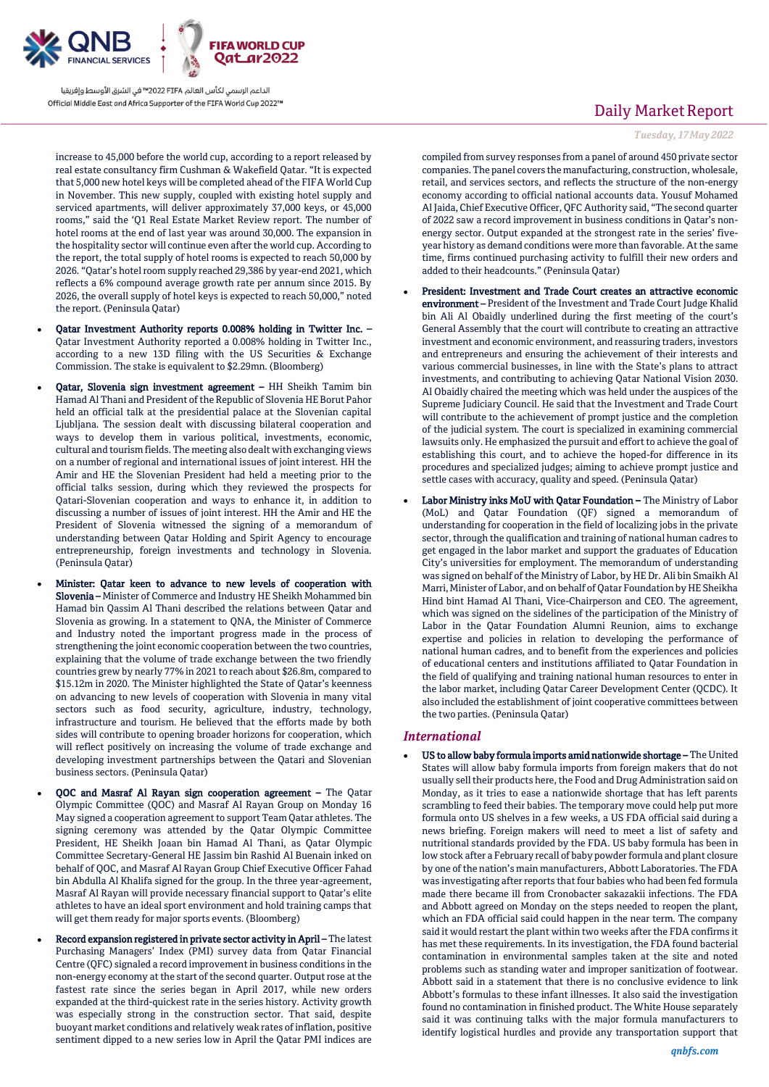

increase to 45,000 before the world cup, according to a report released by real estate consultancy firm Cushman & Wakefield Qatar. "It is expected that 5,000 new hotel keys will be completed ahead of the FIFA World Cup in November. This new supply, coupled with existing hotel supply and serviced apartments, will deliver approximately 37,000 keys, or 45,000 rooms," said the 'Q1 Real Estate Market Review report. The number of hotel rooms at the end of last year was around 30,000. The expansion in the hospitality sector will continue even after the world cup. According to the report, the total supply of hotel rooms is expected to reach 50,000 by 2026. "Qatar's hotel room supply reached 29,386 by year-end 2021, which reflects a 6% compound average growth rate per annum since 2015. By 2026, the overall supply of hotel keys is expected to reach 50,000," noted the report. (Peninsula Qatar)

- Qatar Investment Authority reports 0.008% holding in Twitter Inc. Qatar Investment Authority reported a 0.008% holding in Twitter Inc., according to a new 13D filing with the US Securities & Exchange Commission. The stake is equivalent to \$2.29mn. (Bloomberg)
- Qatar, Slovenia sign investment agreement HH Sheikh Tamim bin Hamad Al Thani and President of the Republic of Slovenia HE Borut Pahor held an official talk at the presidential palace at the Slovenian capital Ljubliana. The session dealt with discussing bilateral cooperation and ways to develop them in various political, investments, economic, cultural and tourism fields. The meeting also dealt with exchanging views on a number of regional and international issues of joint interest. HH the Amir and HE the Slovenian President had held a meeting prior to the official talks session, during which they reviewed the prospects for Qatari-Slovenian cooperation and ways to enhance it, in addition to discussing a number of issues of joint interest. HH the Amir and HE the President of Slovenia witnessed the signing of a memorandum of understanding between Qatar Holding and Spirit Agency to encourage entrepreneurship, foreign investments and technology in Slovenia. (Peninsula Qatar)
- Minister: Qatar keen to advance to new levels of cooperation with Slovenia – Minister of Commerce and Industry HE Sheikh Mohammed bin Hamad bin Qassim Al Thani described the relations between Qatar and Slovenia as growing. In a statement to QNA, the Minister of Commerce and Industry noted the important progress made in the process of strengthening the joint economic cooperation between the two countries, explaining that the volume of trade exchange between the two friendly countries grew by nearly 77% in 2021 to reach about \$26.8m, compared to \$15.12m in 2020. The Minister highlighted the State of Qatar's keenness on advancing to new levels of cooperation with Slovenia in many vital sectors such as food security, agriculture, industry, technology, infrastructure and tourism. He believed that the efforts made by both sides will contribute to opening broader horizons for cooperation, which will reflect positively on increasing the volume of trade exchange and developing investment partnerships between the Qatari and Slovenian business sectors. (Peninsula Qatar)
- QOC and Masraf Al Rayan sign cooperation agreement The Qatar Olympic Committee (QOC) and Masraf Al Rayan Group on Monday 16 May signed a cooperation agreement to support Team Qatar athletes. The signing ceremony was attended by the Qatar Olympic Committee President, HE Sheikh Joaan bin Hamad Al Thani, as Qatar Olympic Committee Secretary-General HE Jassim bin Rashid Al Buenain inked on behalf of QOC, and Masraf Al Rayan Group Chief Executive Officer Fahad bin Abdulla Al Khalifa signed for the group. In the three year-agreement, Masraf Al Rayan will provide necessary financial support to Qatar's elite athletes to have an ideal sport environment and hold training camps that will get them ready for major sports events. (Bloomberg)
- Record expansion registered in private sector activity in April The latest Purchasing Managers' Index (PMI) survey data from Qatar Financial Centre (QFC) signaled a record improvement in business conditions in the non-energy economy at the start of the second quarter. Output rose at the fastest rate since the series began in April 2017, while new orders expanded at the third-quickest rate in the series history. Activity growth was especially strong in the construction sector. That said, despite buoyant market conditions and relatively weak rates of inflation, positive sentiment dipped to a new series low in April the Qatar PMI indices are

# Daily Market Report

#### *Tuesday, 17May 2022*

compiled from survey responses from a panel of around 450 private sector companies. The panel covers the manufacturing, construction, wholesale, retail, and services sectors, and reflects the structure of the non-energy economy according to official national accounts data. Yousuf Mohamed Al Jaida, Chief Executive Officer, QFC Authority said, "The second quarter of 2022 saw a record improvement in business conditions in Qatar's nonenergy sector. Output expanded at the strongest rate in the series' fiveyear history as demand conditions were more than favorable. At the same time, firms continued purchasing activity to fulfill their new orders and added to their headcounts." (Peninsula Qatar)

- President: Investment and Trade Court creates an attractive economic environment – President of the Investment and Trade Court Judge Khalid bin Ali Al Obaidly underlined during the first meeting of the court's General Assembly that the court will contribute to creating an attractive investment and economic environment, and reassuring traders, investors and entrepreneurs and ensuring the achievement of their interests and various commercial businesses, in line with the State's plans to attract investments, and contributing to achieving Qatar National Vision 2030. Al Obaidly chaired the meeting which was held under the auspices of the Supreme Judiciary Council. He said that the Investment and Trade Court will contribute to the achievement of prompt justice and the completion of the judicial system. The court is specialized in examining commercial lawsuits only. He emphasized the pursuit and effort to achieve the goal of establishing this court, and to achieve the hoped-for difference in its procedures and specialized judges; aiming to achieve prompt justice and settle cases with accuracy, quality and speed. (Peninsula Qatar)
- Labor Ministry inks MoU with Qatar Foundation The Ministry of Labor (MoL) and Qatar Foundation (QF) signed a memorandum of understanding for cooperation in the field of localizing jobs in the private sector, through the qualification and training of national human cadres to get engaged in the labor market and support the graduates of Education City's universities for employment. The memorandum of understanding was signed on behalf of the Ministry of Labor, by HE Dr. Ali bin Smaikh Al Marri, Minister of Labor, and on behalf of Qatar Foundation by HE Sheikha Hind bint Hamad Al Thani, Vice-Chairperson and CEO. The agreement, which was signed on the sidelines of the participation of the Ministry of Labor in the Qatar Foundation Alumni Reunion, aims to exchange expertise and policies in relation to developing the performance of national human cadres, and to benefit from the experiences and policies of educational centers and institutions affiliated to Qatar Foundation in the field of qualifying and training national human resources to enter in the labor market, including Qatar Career Development Center (QCDC). It also included the establishment of joint cooperative committees between the two parties. (Peninsula Qatar)

### *International*

 US to allow baby formula imports amid nationwide shortage – The United States will allow baby formula imports from foreign makers that do not usually sell their products here, the Food and Drug Administration said on Monday, as it tries to ease a nationwide shortage that has left parents scrambling to feed their babies. The temporary move could help put more formula onto US shelves in a few weeks, a US FDA official said during a news briefing. Foreign makers will need to meet a list of safety and nutritional standards provided by the FDA. US baby formula has been in low stock after a February recall of baby powder formula and plant closure by one of the nation's main manufacturers, Abbott Laboratories. The FDA was investigating after reports that four babies who had been fed formula made there became ill from Cronobacter sakazakii infections. The FDA and Abbott agreed on Monday on the steps needed to reopen the plant, which an FDA official said could happen in the near term. The company said it would restart the plant within two weeks after the FDA confirms it has met these requirements. In its investigation, the FDA found bacterial contamination in environmental samples taken at the site and noted problems such as standing water and improper sanitization of footwear. Abbott said in a statement that there is no conclusive evidence to link Abbott's formulas to these infant illnesses. It also said the investigation found no contamination in finished product. The White House separately said it was continuing talks with the major formula manufacturers to identify logistical hurdles and provide any transportation support that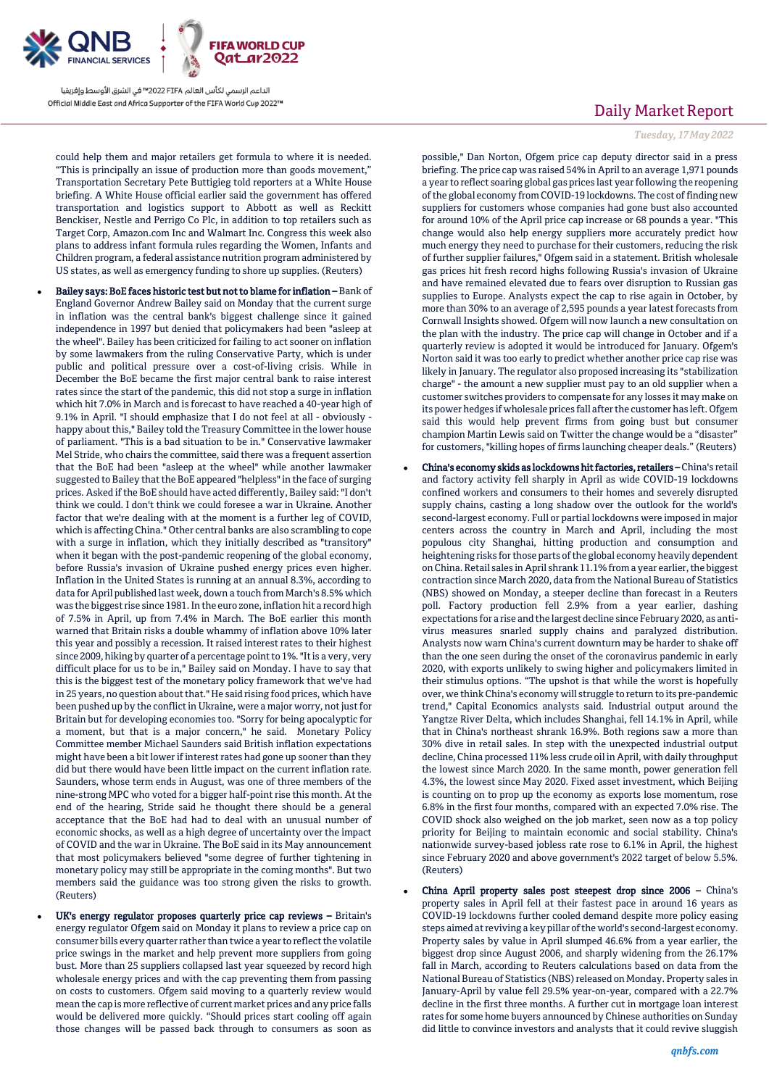

could help them and major retailers get formula to where it is needed. "This is principally an issue of production more than goods movement," Transportation Secretary Pete Buttigieg told reporters at a White House briefing. A White House official earlier said the government has offered transportation and logistics support to Abbott as well as Reckitt Benckiser, Nestle and Perrigo Co Plc, in addition to top retailers such as Target Corp, Amazon.com Inc and Walmart Inc. Congress this week also plans to address infant formula rules regarding the Women, Infants and Children program, a federal assistance nutrition program administered by US states, as well as emergency funding to shore up supplies. (Reuters)

 Bailey says: BoE faces historic test but not to blame for inflation – Bank of England Governor Andrew Bailey said on Monday that the current surge in inflation was the central bank's biggest challenge since it gained independence in 1997 but denied that policymakers had been "asleep at the wheel". Bailey has been criticized for failing to act sooner on inflation by some lawmakers from the ruling Conservative Party, which is under public and political pressure over a cost-of-living crisis. While in December the BoE became the first major central bank to raise interest rates since the start of the pandemic, this did not stop a surge in inflation which hit 7.0% in March and is forecast to have reached a 40-year high of 9.1% in April. "I should emphasize that I do not feel at all - obviously happy about this," Bailey told the Treasury Committee in the lower house of parliament. "This is a bad situation to be in." Conservative lawmaker Mel Stride, who chairs the committee, said there was a frequent assertion that the BoE had been "asleep at the wheel" while another lawmaker suggested to Bailey that the BoE appeared "helpless" in the face of surging prices. Asked if the BoE should have acted differently, Bailey said: "I don't think we could. I don't think we could foresee a war in Ukraine. Another factor that we're dealing with at the moment is a further leg of COVID, which is affecting China." Other central banks are also scrambling to cope with a surge in inflation, which they initially described as "transitory" when it began with the post-pandemic reopening of the global economy, before Russia's invasion of Ukraine pushed energy prices even higher. Inflation in the United States is running at an annual 8.3%, according to data for April published last week, down a touch from March's 8.5% which was the biggest rise since 1981. In the euro zone, inflation hit a record high of 7.5% in April, up from 7.4% in March. The BoE earlier this month warned that Britain risks a double whammy of inflation above 10% later this year and possibly a recession. It raised interest rates to their highest since 2009, hiking by quarter of a percentage point to 1%. "It is a very, very difficult place for us to be in," Bailey said on Monday. I have to say that this is the biggest test of the monetary policy framework that we've had in 25 years, no question about that." He said rising food prices, which have been pushed up by the conflict in Ukraine, were a major worry, not just for Britain but for developing economies too. "Sorry for being apocalyptic for a moment, but that is a major concern," he said. Monetary Policy Committee member Michael Saunders said British inflation expectations might have been a bit lower if interest rates had gone up sooner than they did but there would have been little impact on the current inflation rate. Saunders, whose term ends in August, was one of three members of the nine-strong MPC who voted for a bigger half-point rise this month. At the end of the hearing, Stride said he thought there should be a general acceptance that the BoE had had to deal with an unusual number of economic shocks, as well as a high degree of uncertainty over the impact of COVID and the war in Ukraine. The BoE said in its May announcement that most policymakers believed "some degree of further tightening in monetary policy may still be appropriate in the coming months". But two members said the guidance was too strong given the risks to growth. (Reuters)

 UK's energy regulator proposes quarterly price cap reviews – Britain's energy regulator Ofgem said on Monday it plans to review a price cap on consumer bills every quarter rather than twice a year to reflect the volatile price swings in the market and help prevent more suppliers from going bust. More than 25 suppliers collapsed last year squeezed by record high wholesale energy prices and with the cap preventing them from passing on costs to customers. Ofgem said moving to a quarterly review would mean the cap is more reflective of current market prices and any price falls would be delivered more quickly. "Should prices start cooling off again those changes will be passed back through to consumers as soon as

## Daily Market Report

### *Tuesday, 17May 2022*

possible," Dan Norton, Ofgem price cap deputy director said in a press briefing. The price cap was raised 54% in April to an average 1,971 pounds a year to reflect soaring global gas prices last year following the reopening of the global economy from COVID-19 lockdowns. The cost of finding new suppliers for customers whose companies had gone bust also accounted for around 10% of the April price cap increase or 68 pounds a year. "This change would also help energy suppliers more accurately predict how much energy they need to purchase for their customers, reducing the risk of further supplier failures," Ofgem said in a statement. British wholesale gas prices hit fresh record highs following Russia's invasion of Ukraine and have remained elevated due to fears over disruption to Russian gas supplies to Europe. Analysts expect the cap to rise again in October, by more than 30% to an average of 2,595 pounds a year latest forecasts from Cornwall Insights showed. Ofgem will now launch a new consultation on the plan with the industry. The price cap will change in October and if a quarterly review is adopted it would be introduced for January. Ofgem's Norton said it was too early to predict whether another price cap rise was likely in January. The regulator also proposed increasing its "stabilization charge" - the amount a new supplier must pay to an old supplier when a customer switches providers to compensate for any losses it may make on its power hedges if wholesale prices fall after the customer has left. Ofgem said this would help prevent firms from going bust but consumer champion Martin Lewis said on Twitter the change would be a "disaster" for customers, "killing hopes of firms launching cheaper deals." (Reuters)

- China's economy skids as lockdowns hit factories, retailers China's retail and factory activity fell sharply in April as wide COVID-19 lockdowns confined workers and consumers to their homes and severely disrupted supply chains, casting a long shadow over the outlook for the world's second-largest economy. Full or partial lockdowns were imposed in major centers across the country in March and April, including the most populous city Shanghai, hitting production and consumption and heightening risks for those parts of the global economy heavily dependent on China. Retail sales in April shrank 11.1% from a year earlier, the biggest contraction since March 2020, data from the National Bureau of Statistics (NBS) showed on Monday, a steeper decline than forecast in a Reuters poll. Factory production fell 2.9% from a year earlier, dashing expectations for a rise and the largest decline since February 2020, as antivirus measures snarled supply chains and paralyzed distribution. Analysts now warn China's current downturn may be harder to shake off than the one seen during the onset of the coronavirus pandemic in early 2020, with exports unlikely to swing higher and policymakers limited in their stimulus options. "The upshot is that while the worst is hopefully over, we think China's economy will struggle to return to its pre-pandemic trend," Capital Economics analysts said. Industrial output around the Yangtze River Delta, which includes Shanghai, fell 14.1% in April, while that in China's northeast shrank 16.9%. Both regions saw a more than 30% dive in retail sales. In step with the unexpected industrial output decline, China processed 11% less crude oil in April, with daily throughput the lowest since March 2020. In the same month, power generation fell 4.3%, the lowest since May 2020. Fixed asset investment, which Beijing is counting on to prop up the economy as exports lose momentum, rose 6.8% in the first four months, compared with an expected 7.0% rise. The COVID shock also weighed on the job market, seen now as a top policy priority for Beijing to maintain economic and social stability. China's nationwide survey-based jobless rate rose to 6.1% in April, the highest since February 2020 and above government's 2022 target of below 5.5%. (Reuters)
- China April property sales post steepest drop since 2006 China's property sales in April fell at their fastest pace in around 16 years as COVID-19 lockdowns further cooled demand despite more policy easing steps aimed at reviving a key pillar of the world's second-largest economy. Property sales by value in April slumped 46.6% from a year earlier, the biggest drop since August 2006, and sharply widening from the 26.17% fall in March, according to Reuters calculations based on data from the National Bureau of Statistics (NBS) released on Monday. Property sales in January-April by value fell 29.5% year-on-year, compared with a 22.7% decline in the first three months. A further cut in mortgage loan interest rates for some home buyers announced by Chinese authorities on Sunday did little to convince investors and analysts that it could revive sluggish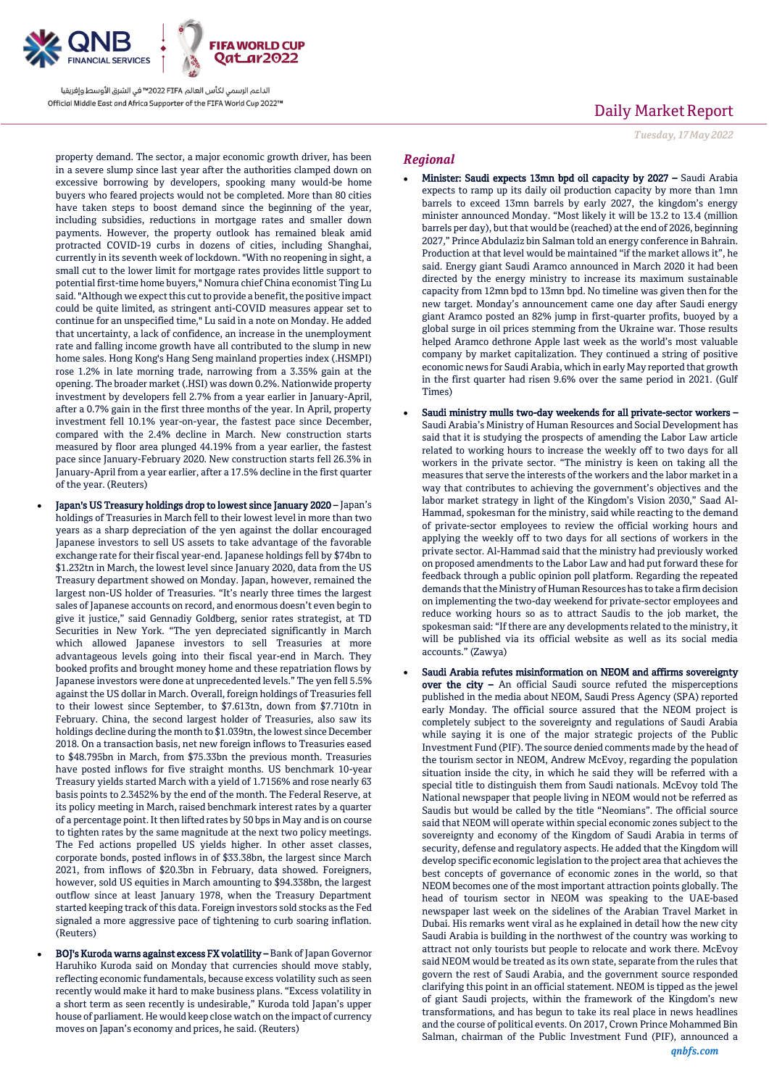

property demand. The sector, a major economic growth driver, has been in a severe slump since last year after the authorities clamped down on excessive borrowing by developers, spooking many would-be home buyers who feared projects would not be completed. More than 80 cities have taken steps to boost demand since the beginning of the year, including subsidies, reductions in mortgage rates and smaller down payments. However, the property outlook has remained bleak amid protracted COVID-19 curbs in dozens of cities, including Shanghai, currently in its seventh week of lockdown. "With no reopening in sight, a small cut to the lower limit for mortgage rates provides little support to potential first-time home buyers," Nomura chief China economist Ting Lu said. "Although we expect this cut to provide a benefit, the positive impact could be quite limited, as stringent anti-COVID measures appear set to continue for an unspecified time," Lu said in a note on Monday. He added that uncertainty, a lack of confidence, an increase in the unemployment rate and falling income growth have all contributed to the slump in new home sales. Hong Kong's Hang Seng mainland properties index (.HSMPI) rose 1.2% in late morning trade, narrowing from a 3.35% gain at the opening. The broader market (.HSI) was down 0.2%. Nationwide property investment by developers fell 2.7% from a year earlier in January-April, after a 0.7% gain in the first three months of the year. In April, property investment fell 10.1% year-on-year, the fastest pace since December, compared with the 2.4% decline in March. New construction starts measured by floor area plunged 44.19% from a year earlier, the fastest pace since January-February 2020. New construction starts fell 26.3% in January-April from a year earlier, after a 17.5% decline in the first quarter of the year. (Reuters)

- Japan's US Treasury holdings drop to lowest since January 2020 Japan's holdings of Treasuries in March fell to their lowest level in more than two years as a sharp depreciation of the yen against the dollar encouraged Japanese investors to sell US assets to take advantage of the favorable exchange rate for their fiscal year-end. Japanese holdings fell by \$74bn to \$1.232tn in March, the lowest level since January 2020, data from the US Treasury department showed on Monday. Japan, however, remained the largest non-US holder of Treasuries. "It's nearly three times the largest sales of Japanese accounts on record, and enormous doesn't even begin to give it justice," said Gennadiy Goldberg, senior rates strategist, at TD Securities in New York. "The yen depreciated significantly in March which allowed Japanese investors to sell Treasuries at more advantageous levels going into their fiscal year-end in March. They booked profits and brought money home and these repatriation flows by Japanese investors were done at unprecedented levels." The yen fell 5.5% against the US dollar in March. Overall, foreign holdings of Treasuries fell to their lowest since September, to \$7.613tn, down from \$7.710tn in February. China, the second largest holder of Treasuries, also saw its holdings decline during the month to \$1.039tn, the lowest since December 2018. On a transaction basis, net new foreign inflows to Treasuries eased to \$48.795bn in March, from \$75.33bn the previous month. Treasuries have posted inflows for five straight months. US benchmark 10-year Treasury yields started March with a yield of 1.7156% and rose nearly 63 basis points to 2.3452% by the end of the month. The Federal Reserve, at its policy meeting in March, raised benchmark interest rates by a quarter of a percentage point. It then lifted rates by 50 bps in May and is on course to tighten rates by the same magnitude at the next two policy meetings. The Fed actions propelled US yields higher. In other asset classes, corporate bonds, posted inflows in of \$33.38bn, the largest since March 2021, from inflows of \$20.3bn in February, data showed. Foreigners, however, sold US equities in March amounting to \$94.338bn, the largest outflow since at least January 1978, when the Treasury Department started keeping track of this data. Foreign investors sold stocks as the Fed signaled a more aggressive pace of tightening to curb soaring inflation. (Reuters)
- BOJ's Kuroda warns against excess FX volatility Bank of Japan Governor Haruhiko Kuroda said on Monday that currencies should move stably, reflecting economic fundamentals, because excess volatility such as seen recently would make it hard to make business plans. "Excess volatility in a short term as seen recently is undesirable," Kuroda told Japan's upper house of parliament. He would keep close watch on the impact of currency moves on Japan's economy and prices, he said. (Reuters)

# Daily Market Report

*Tuesday, 17May 2022*

### *Regional*

- Minister: Saudi expects 13mn bpd oil capacity by 2027 Saudi Arabia expects to ramp up its daily oil production capacity by more than 1mn barrels to exceed 13mn barrels by early 2027, the kingdom's energy minister announced Monday. "Most likely it will be 13.2 to 13.4 (million barrels per day), but that would be (reached) at the end of 2026, beginning 2027," Prince Abdulaziz bin Salman told an energy conference in Bahrain. Production at that level would be maintained "if the market allows it", he said. Energy giant Saudi Aramco announced in March 2020 it had been directed by the energy ministry to increase its maximum sustainable capacity from 12mn bpd to 13mn bpd. No timeline was given then for the new target. Monday's announcement came one day after Saudi energy giant Aramco posted an 82% jump in first-quarter profits, buoyed by a global surge in oil prices stemming from the Ukraine war. Those results helped Aramco dethrone Apple last week as the world's most valuable company by market capitalization. They continued a string of positive economic news for Saudi Arabia, which in early May reported that growth in the first quarter had risen 9.6% over the same period in 2021. (Gulf Times)
- Saudi ministry mulls two-day weekends for all private-sector workers Saudi Arabia's Ministry of Human Resources and Social Development has said that it is studying the prospects of amending the Labor Law article related to working hours to increase the weekly off to two days for all workers in the private sector. "The ministry is keen on taking all the measures that serve the interests of the workers and the labor market in a way that contributes to achieving the government's objectives and the labor market strategy in light of the Kingdom's Vision 2030," Saad Al-Hammad, spokesman for the ministry, said while reacting to the demand of private-sector employees to review the official working hours and applying the weekly off to two days for all sections of workers in the private sector. Al-Hammad said that the ministry had previously worked on proposed amendments to the Labor Law and had put forward these for feedback through a public opinion poll platform. Regarding the repeated demands that the Ministry of Human Resources has to take a firm decision on implementing the two-day weekend for private-sector employees and reduce working hours so as to attract Saudis to the job market, the spokesman said: "If there are any developments related to the ministry, it will be published via its official website as well as its social media accounts." (Zawya)
- Saudi Arabia refutes misinformation on NEOM and affirms sovereignty over the city - An official Saudi source refuted the misperceptions published in the media about NEOM, Saudi Press Agency (SPA) reported early Monday. The official source assured that the NEOM project is completely subject to the sovereignty and regulations of Saudi Arabia while saying it is one of the major strategic projects of the Public Investment Fund (PIF). The source denied comments made by the head of the tourism sector in NEOM, Andrew McEvoy, regarding the population situation inside the city, in which he said they will be referred with a special title to distinguish them from Saudi nationals. McEvoy told The National newspaper that people living in NEOM would not be referred as Saudis but would be called by the title "Neomians". The official source said that NEOM will operate within special economic zones subject to the sovereignty and economy of the Kingdom of Saudi Arabia in terms of security, defense and regulatory aspects. He added that the Kingdom will develop specific economic legislation to the project area that achieves the best concepts of governance of economic zones in the world, so that NEOM becomes one of the most important attraction points globally. The head of tourism sector in NEOM was speaking to the UAE-based newspaper last week on the sidelines of the Arabian Travel Market in Dubai. His remarks went viral as he explained in detail how the new city Saudi Arabia is building in the northwest of the country was working to attract not only tourists but people to relocate and work there. McEvoy said NEOM would be treated as its own state, separate from the rules that govern the rest of Saudi Arabia, and the government source responded clarifying this point in an official statement. NEOM is tipped as the jewel of giant Saudi projects, within the framework of the Kingdom's new transformations, and has begun to take its real place in news headlines and the course of political events. On 2017, Crown Prince Mohammed Bin Salman, chairman of the Public Investment Fund (PIF), announced a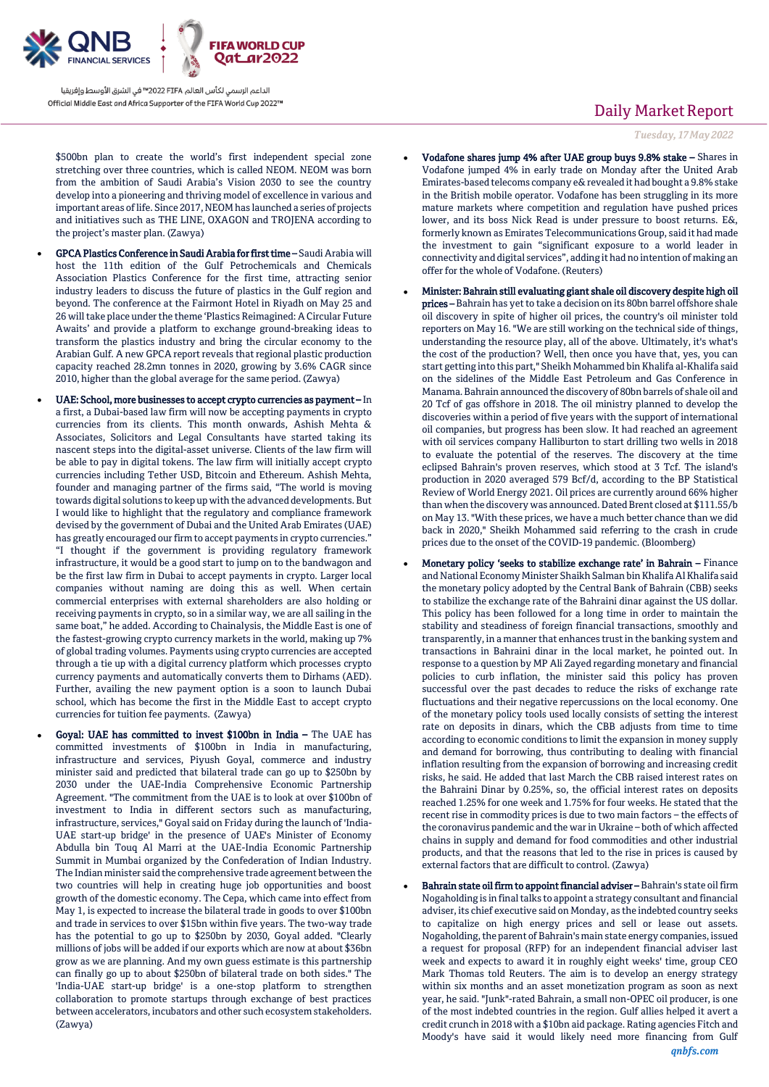

\$500bn plan to create the world's first independent special zone stretching over three countries, which is called NEOM. NEOM was born from the ambition of Saudi Arabia's Vision 2030 to see the country develop into a pioneering and thriving model of excellence in various and important areas of life. Since 2017, NEOM has launched a series of projects and initiatives such as THE LINE, OXAGON and TROJENA according to the project's master plan. (Zawya)

- GPCA Plastics Conference in Saudi Arabia for first time Saudi Arabia will host the 11th edition of the Gulf Petrochemicals and Chemicals Association Plastics Conference for the first time, attracting senior industry leaders to discuss the future of plastics in the Gulf region and beyond. The conference at the Fairmont Hotel in Riyadh on May 25 and 26 will take place under the theme 'Plastics Reimagined: A Circular Future Awaits' and provide a platform to exchange ground-breaking ideas to transform the plastics industry and bring the circular economy to the Arabian Gulf. A new GPCA report reveals that regional plastic production capacity reached 28.2mn tonnes in 2020, growing by 3.6% CAGR since 2010, higher than the global average for the same period. (Zawya)
- UAE: School, more businesses to accept crypto currencies as payment In a first, a Dubai-based law firm will now be accepting payments in crypto currencies from its clients. This month onwards, Ashish Mehta & Associates, Solicitors and Legal Consultants have started taking its nascent steps into the digital-asset universe. Clients of the law firm will be able to pay in digital tokens. The law firm will initially accept crypto currencies including Tether USD, Bitcoin and Ethereum. Ashish Mehta, founder and managing partner of the firms said, "The world is moving towards digital solutions to keep up with the advanced developments. But I would like to highlight that the regulatory and compliance framework devised by the government of Dubai and the United Arab Emirates (UAE) has greatly encouraged our firm to accept payments in crypto currencies." "I thought if the government is providing regulatory framework infrastructure, it would be a good start to jump on to the bandwagon and be the first law firm in Dubai to accept payments in crypto. Larger local companies without naming are doing this as well. When certain commercial enterprises with external shareholders are also holding or receiving payments in crypto, so in a similar way, we are all sailing in the same boat," he added. According to Chainalysis, the Middle East is one of the fastest-growing crypto currency markets in the world, making up 7% of global trading volumes. Payments using crypto currencies are accepted through a tie up with a digital currency platform which processes crypto currency payments and automatically converts them to Dirhams (AED). Further, availing the new payment option is a soon to launch Dubai school, which has become the first in the Middle East to accept crypto currencies for tuition fee payments. (Zawya)
- Goyal: UAE has committed to invest \$100bn in India The UAE has committed investments of \$100bn in India in manufacturing, infrastructure and services, Piyush Goyal, commerce and industry minister said and predicted that bilateral trade can go up to \$250bn by 2030 under the UAE-India Comprehensive Economic Partnership Agreement. "The commitment from the UAE is to look at over \$100bn of investment to India in different sectors such as manufacturing, infrastructure, services," Goyal said on Friday during the launch of 'India-UAE start-up bridge' in the presence of UAE's Minister of Economy Abdulla bin Touq Al Marri at the UAE-India Economic Partnership Summit in Mumbai organized by the Confederation of Indian Industry. The Indian minister said the comprehensive trade agreement between the two countries will help in creating huge job opportunities and boost growth of the domestic economy. The Cepa, which came into effect from May 1, is expected to increase the bilateral trade in goods to over \$100bn and trade in services to over \$15bn within five years. The two-way trade has the potential to go up to \$250bn by 2030, Goyal added. "Clearly millions of jobs will be added if our exports which are now at about \$36bn grow as we are planning. And my own guess estimate is this partnership can finally go up to about \$250bn of bilateral trade on both sides." The 'India-UAE start-up bridge' is a one-stop platform to strengthen collaboration to promote startups through exchange of best practices between accelerators, incubators and other such ecosystem stakeholders. (Zawya)

## Daily Market Report

*Tuesday, 17May 2022*

- Vodafone shares jump 4% after UAE group buys 9.8% stake Shares in Vodafone jumped 4% in early trade on Monday after the United Arab Emirates-based telecoms company e& revealed it had bought a 9.8% stake in the British mobile operator. Vodafone has been struggling in its more mature markets where competition and regulation have pushed prices lower, and its boss Nick Read is under pressure to boost returns. E&, formerly known as Emirates Telecommunications Group, said it had made the investment to gain "significant exposure to a world leader in connectivity and digital services", adding it had no intention of making an offer for the whole of Vodafone. (Reuters)
- Minister: Bahrain still evaluating giant shale oil discovery despite high oil prices – Bahrain has yet to take a decision on its 80bn barrel offshore shale oil discovery in spite of higher oil prices, the country's oil minister told reporters on May 16. "We are still working on the technical side of things, understanding the resource play, all of the above. Ultimately, it's what's the cost of the production? Well, then once you have that, yes, you can start getting into this part," Sheikh Mohammed bin Khalifa al-Khalifa said on the sidelines of the Middle East Petroleum and Gas Conference in Manama. Bahrain announced the discovery of 80bn barrels of shale oil and 20 Tcf of gas offshore in 2018. The oil ministry planned to develop the discoveries within a period of five years with the support of international oil companies, but progress has been slow. It had reached an agreement with oil services company Halliburton to start drilling two wells in 2018 to evaluate the potential of the reserves. The discovery at the time eclipsed Bahrain's proven reserves, which stood at 3 Tcf. The island's production in 2020 averaged 579 Bcf/d, according to the BP Statistical Review of World Energy 2021. Oil prices are currently around 66% higher than when the discovery was announced. Dated Brent closed at \$111.55/b on May 13. "With these prices, we have a much better chance than we did back in 2020," Sheikh Mohammed said referring to the crash in crude prices due to the onset of the COVID-19 pandemic. (Bloomberg)
- Monetary policy 'seeks to stabilize exchange rate' in Bahrain Finance and National Economy Minister Shaikh Salman bin Khalifa Al Khalifa said the monetary policy adopted by the Central Bank of Bahrain (CBB) seeks to stabilize the exchange rate of the Bahraini dinar against the US dollar. This policy has been followed for a long time in order to maintain the stability and steadiness of foreign financial transactions, smoothly and transparently, in a manner that enhances trust in the banking system and transactions in Bahraini dinar in the local market, he pointed out. In response to a question by MP Ali Zayed regarding monetary and financial policies to curb inflation, the minister said this policy has proven successful over the past decades to reduce the risks of exchange rate fluctuations and their negative repercussions on the local economy. One of the monetary policy tools used locally consists of setting the interest rate on deposits in dinars, which the CBB adjusts from time to time according to economic conditions to limit the expansion in money supply and demand for borrowing, thus contributing to dealing with financial inflation resulting from the expansion of borrowing and increasing credit risks, he said. He added that last March the CBB raised interest rates on the Bahraini Dinar by 0.25%, so, the official interest rates on deposits reached 1.25% for one week and 1.75% for four weeks. He stated that the recent rise in commodity prices is due to two main factors – the effects of the coronavirus pandemic and the war in Ukraine – both of which affected chains in supply and demand for food commodities and other industrial products, and that the reasons that led to the rise in prices is caused by external factors that are difficult to control. (Zawya)
- Bahrain state oil firm to appoint financial adviser Bahrain's state oil firm Nogaholding is in final talks to appoint a strategy consultant and financial adviser, its chief executive said on Monday, as the indebted country seeks to capitalize on high energy prices and sell or lease out assets. Nogaholding, the parent of Bahrain's main state energy companies, issued a request for proposal (RFP) for an independent financial adviser last week and expects to award it in roughly eight weeks' time, group CEO Mark Thomas told Reuters. The aim is to develop an energy strategy within six months and an asset monetization program as soon as next year, he said. "Junk"-rated Bahrain, a small non-OPEC oil producer, is one of the most indebted countries in the region. Gulf allies helped it avert a credit crunch in 2018 with a \$10bn aid package. Rating agencies Fitch and Moody's have said it would likely need more financing from Gulf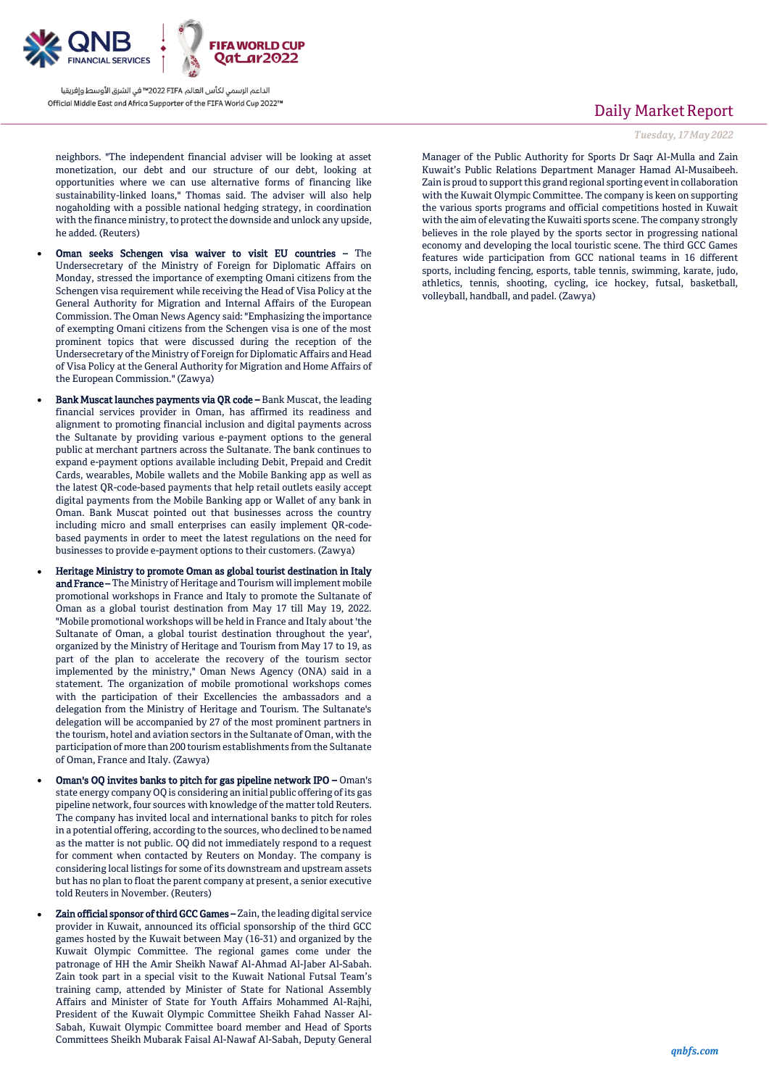

neighbors. "The independent financial adviser will be looking at asset monetization, our debt and our structure of our debt, looking at opportunities where we can use alternative forms of financing like sustainability-linked loans," Thomas said. The adviser will also help nogaholding with a possible national hedging strategy, in coordination with the finance ministry, to protect the downside and unlock any upside, he added. (Reuters)

- Oman seeks Schengen visa waiver to visit EU countries The Undersecretary of the Ministry of Foreign for Diplomatic Affairs on Monday, stressed the importance of exempting Omani citizens from the Schengen visa requirement while receiving the Head of Visa Policy at the General Authority for Migration and Internal Affairs of the European Commission. The Oman News Agency said: "Emphasizing the importance of exempting Omani citizens from the Schengen visa is one of the most prominent topics that were discussed during the reception of the Undersecretary of the Ministry of Foreign for Diplomatic Affairs and Head of Visa Policy at the General Authority for Migration and Home Affairs of the European Commission." (Zawya)
- Bank Muscat launches payments via QR code Bank Muscat, the leading financial services provider in Oman, has affirmed its readiness and alignment to promoting financial inclusion and digital payments across the Sultanate by providing various e-payment options to the general public at merchant partners across the Sultanate. The bank continues to expand e-payment options available including Debit, Prepaid and Credit Cards, wearables, Mobile wallets and the Mobile Banking app as well as the latest QR-code-based payments that help retail outlets easily accept digital payments from the Mobile Banking app or Wallet of any bank in Oman. Bank Muscat pointed out that businesses across the country including micro and small enterprises can easily implement QR-codebased payments in order to meet the latest regulations on the need for businesses to provide e-payment options to their customers. (Zawya)
- Heritage Ministry to promote Oman as global tourist destination in Italy and France – The Ministry of Heritage and Tourism will implement mobile promotional workshops in France and Italy to promote the Sultanate of Oman as a global tourist destination from May 17 till May 19, 2022. "Mobile promotional workshops will be held in France and Italy about 'the Sultanate of Oman, a global tourist destination throughout the year', organized by the Ministry of Heritage and Tourism from May 17 to 19, as part of the plan to accelerate the recovery of the tourism sector implemented by the ministry," Oman News Agency (ONA) said in a statement. The organization of mobile promotional workshops comes with the participation of their Excellencies the ambassadors and a delegation from the Ministry of Heritage and Tourism. The Sultanate's delegation will be accompanied by 27 of the most prominent partners in the tourism, hotel and aviation sectors in the Sultanate of Oman, with the participation of more than 200 tourism establishments from the Sultanate of Oman, France and Italy. (Zawya)
- Oman's OQ invites banks to pitch for gas pipeline network IPO Oman's state energy company OQ is considering an initial public offering of its gas pipeline network, four sources with knowledge of the matter told Reuters. The company has invited local and international banks to pitch for roles in a potential offering, according to the sources, who declined to be named as the matter is not public. OQ did not immediately respond to a request for comment when contacted by Reuters on Monday. The company is considering local listings for some of its downstream and upstream assets but has no plan to float the parent company at present, a senior executive told Reuters in November. (Reuters)
- Zain official sponsor of third GCC Games Zain, the leading digital service provider in Kuwait, announced its official sponsorship of the third GCC games hosted by the Kuwait between May (16-31) and organized by the Kuwait Olympic Committee. The regional games come under the patronage of HH the Amir Sheikh Nawaf Al-Ahmad Al-Jaber Al-Sabah. Zain took part in a special visit to the Kuwait National Futsal Team's training camp, attended by Minister of State for National Assembly Affairs and Minister of State for Youth Affairs Mohammed Al-Rajhi, President of the Kuwait Olympic Committee Sheikh Fahad Nasser Al-Sabah, Kuwait Olympic Committee board member and Head of Sports Committees Sheikh Mubarak Faisal Al-Nawaf Al-Sabah, Deputy General

### Daily Market Report

### *Tuesday, 17May 2022*

Manager of the Public Authority for Sports Dr Saqr Al-Mulla and Zain Kuwait's Public Relations Department Manager Hamad Al-Musaibeeh. Zain is proud to support this grand regional sporting event in collaboration with the Kuwait Olympic Committee. The company is keen on supporting the various sports programs and official competitions hosted in Kuwait with the aim of elevating the Kuwaiti sports scene. The company strongly believes in the role played by the sports sector in progressing national economy and developing the local touristic scene. The third GCC Games features wide participation from GCC national teams in 16 different sports, including fencing, esports, table tennis, swimming, karate, judo, athletics, tennis, shooting, cycling, ice hockey, futsal, basketball, volleyball, handball, and padel. (Zawya)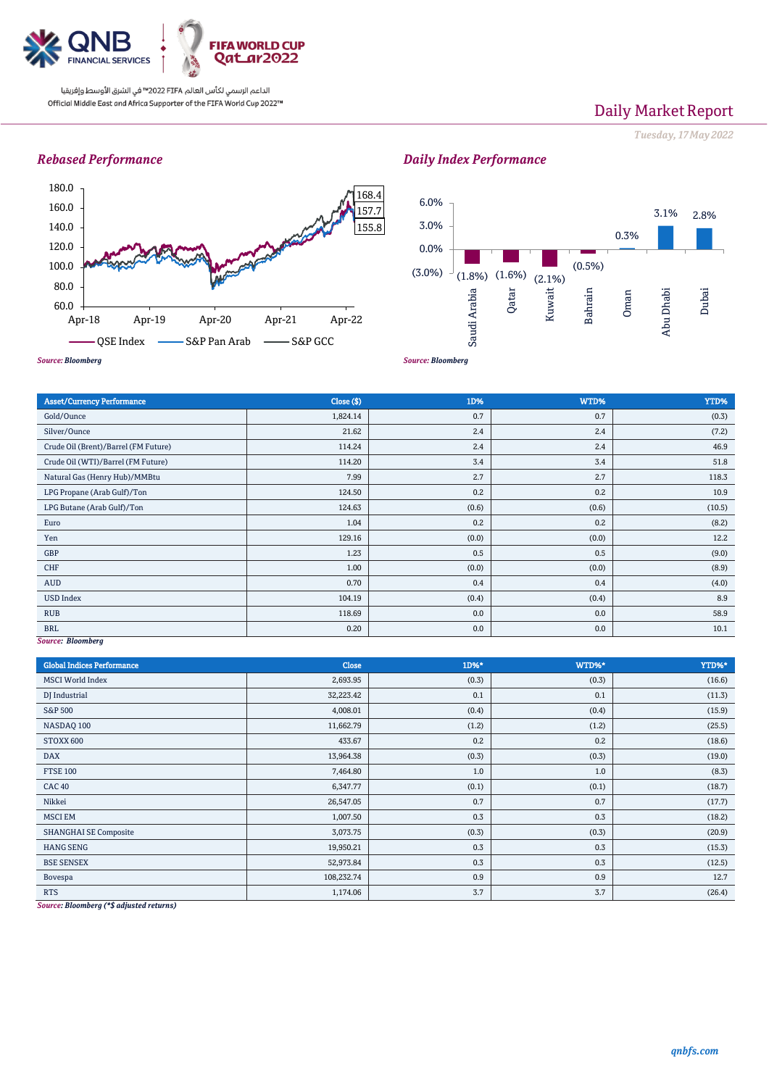

# Daily Market Report

*Tuesday, 17May 2022*

### *Rebased Performance*



### *Daily Index Performance*



| <b>Asset/Currency Performance</b>    | Close ( \$) | 1D%   | WTD%  | YTD%   |
|--------------------------------------|-------------|-------|-------|--------|
| Gold/Ounce                           | 1,824.14    | 0.7   | 0.7   | (0.3)  |
| Silver/Ounce                         | 21.62       | 2.4   | 2.4   | (7.2)  |
| Crude Oil (Brent)/Barrel (FM Future) | 114.24      | 2.4   | 2.4   | 46.9   |
| Crude Oil (WTI)/Barrel (FM Future)   | 114.20      | 3.4   | 3.4   | 51.8   |
| Natural Gas (Henry Hub)/MMBtu        | 7.99        | 2.7   | 2.7   | 118.3  |
| LPG Propane (Arab Gulf)/Ton          | 124.50      | 0.2   | 0.2   | 10.9   |
| LPG Butane (Arab Gulf)/Ton           | 124.63      | (0.6) | (0.6) | (10.5) |
| Euro                                 | 1.04        | 0.2   | 0.2   | (8.2)  |
| Yen                                  | 129.16      | (0.0) | (0.0) | 12.2   |
| GBP                                  | 1.23        | 0.5   | 0.5   | (9.0)  |
| CHF                                  | 1.00        | (0.0) | (0.0) | (8.9)  |
| <b>AUD</b>                           | 0.70        | 0.4   | 0.4   | (4.0)  |
| <b>USD Index</b>                     | 104.19      | (0.4) | (0.4) | 8.9    |
| <b>RUB</b>                           | 118.69      | 0.0   | 0.0   | 58.9   |
| <b>BRL</b>                           | 0.20        | 0.0   | 0.0   | 10.1   |

*Source: Bloomberg*

| <b>Global Indices Performance</b> | Close      | 1D%*  | WTD%* | YTD%*  |
|-----------------------------------|------------|-------|-------|--------|
| <b>MSCI</b> World Index           | 2,693.95   | (0.3) | (0.3) | (16.6) |
| DJ Industrial                     | 32,223.42  | 0.1   | 0.1   | (11.3) |
| S&P 500                           | 4,008.01   | (0.4) | (0.4) | (15.9) |
| NASDAQ 100                        | 11,662.79  | (1.2) | (1.2) | (25.5) |
| STOXX 600                         | 433.67     | 0.2   | 0.2   | (18.6) |
| <b>DAX</b>                        | 13,964.38  | (0.3) | (0.3) | (19.0) |
| <b>FTSE 100</b>                   | 7,464.80   | 1.0   | 1.0   | (8.3)  |
| <b>CAC 40</b>                     | 6,347.77   | (0.1) | (0.1) | (18.7) |
| Nikkei                            | 26,547.05  | 0.7   | 0.7   | (17.7) |
| <b>MSCI EM</b>                    | 1,007.50   | 0.3   | 0.3   | (18.2) |
| <b>SHANGHAI SE Composite</b>      | 3,073.75   | (0.3) | (0.3) | (20.9) |
| <b>HANG SENG</b>                  | 19,950.21  | 0.3   | 0.3   | (15.3) |
| <b>BSE SENSEX</b>                 | 52,973.84  | 0.3   | 0.3   | (12.5) |
| Bovespa                           | 108,232.74 | 0.9   | 0.9   | 12.7   |
| <b>RTS</b>                        | 1,174.06   | 3.7   | 3.7   | (26.4) |

*Source: Bloomberg (\*\$ adjusted returns)*